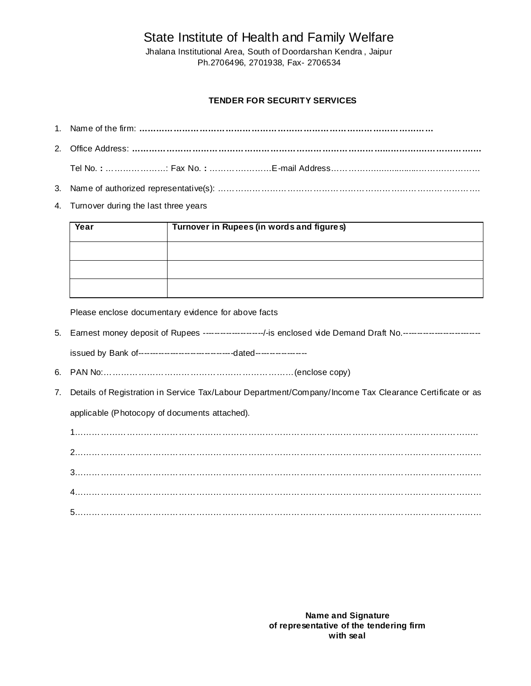# State Institute of Health and Family Welfare

Jhalana Institutional Area, South of Doordarshan Kendra , Jaipur Ph.2706496, 2701938, Fax- 2706534

# **TENDER FOR SECURITY SERVICES**

4. Turnover during the last three years

| Year | Turnover in Rupees (in words and figures) |  |  |  |  |
|------|-------------------------------------------|--|--|--|--|
|      |                                           |  |  |  |  |
|      |                                           |  |  |  |  |
|      |                                           |  |  |  |  |

Please enclose documentary evidence for above facts

- 5. Earnest money deposit of Rupees ---------------------/-is enclosed vide Demand Draft No.-----------------------issued by Bank of---------------------------------dated------------------
- 6. PAN No:…………………………………………………………(enclose copy)
- 7. Details of Registration in Service Tax/Labour Department/Company/Income Tax Clearance Certificate or as applicable (Photocopy of documents attached).

1………………………………………………………………………………………………………………………….. 2…………………………………………………………………………………………………………………………… 3…………………………………………………………………………………………………………………………… 4…………………………………………………………………………………………………………………………… 5……………………………………………………………………………………………………………………………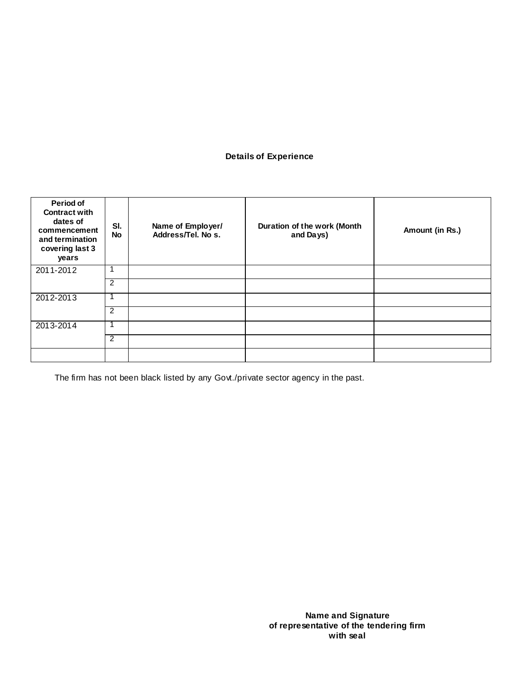# **Details of Experience**

| Period of<br><b>Contract with</b><br>dates of<br>commencement<br>and termination<br>covering last 3<br>years | SI.<br><b>No</b> | Name of Employer/<br>Address/Tel. No s. | Duration of the work (Month<br>and Days) | Amount (in Rs.) |
|--------------------------------------------------------------------------------------------------------------|------------------|-----------------------------------------|------------------------------------------|-----------------|
| 2011-2012                                                                                                    |                  |                                         |                                          |                 |
|                                                                                                              | 2                |                                         |                                          |                 |
| 2012-2013                                                                                                    |                  |                                         |                                          |                 |
|                                                                                                              | $\overline{2}$   |                                         |                                          |                 |
| 2013-2014                                                                                                    |                  |                                         |                                          |                 |
|                                                                                                              | $\overline{2}$   |                                         |                                          |                 |
|                                                                                                              |                  |                                         |                                          |                 |

The firm has not been black listed by any Govt./private sector agency in the past.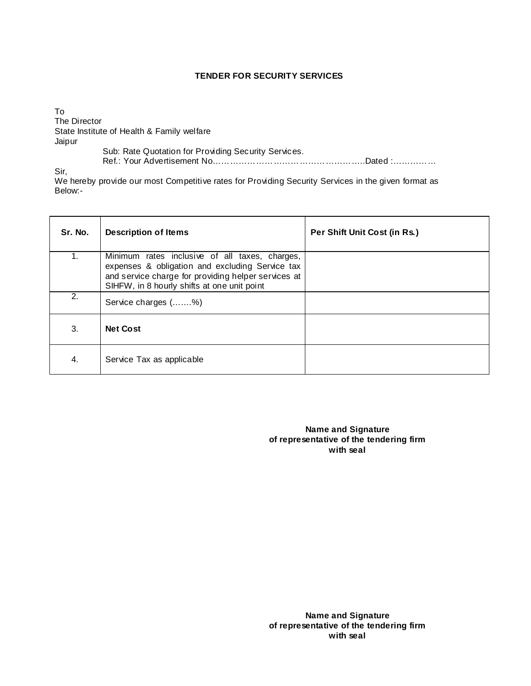#### **TENDER FOR SECURITY SERVICES**

To The Director State Institute of Health & Family welfare Jaipur Sub: Rate Quotation for Providing Security Services. Ref.: Your Advertisement No……………………………………………..Dated :……………

Sir,

We hereby provide our most Competitive rates for Providing Security Services in the given format as Below:-

| Sr. No. | <b>Description of Items</b>                                                                                                                                                                             | Per Shift Unit Cost (in Rs.) |
|---------|---------------------------------------------------------------------------------------------------------------------------------------------------------------------------------------------------------|------------------------------|
| 1.      | Minimum rates inclusive of all taxes, charges,<br>expenses & obligation and excluding Service tax<br>and service charge for providing helper services at<br>SIHFW, in 8 hourly shifts at one unit point |                              |
| 2.      | Service charges (%)                                                                                                                                                                                     |                              |
| 3.      | <b>Net Cost</b>                                                                                                                                                                                         |                              |
| 4.      | Service Tax as applicable                                                                                                                                                                               |                              |

**Name and Signature of representative of the tendering firm with seal**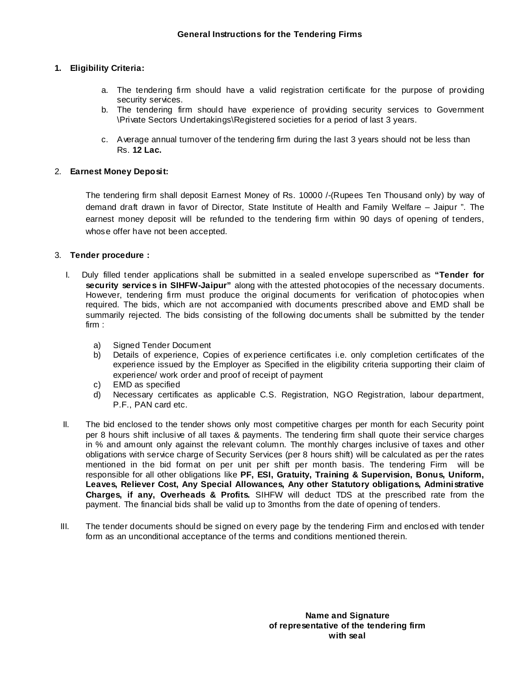# **1. Eligibility Criteria:**

- a. The tendering firm should have a valid registration certificate for the purpose of providing security services.
- b. The tendering firm should have experience of providing security services to Government \Private Sectors Undertakings\Registered societies for a period of last 3 years.
- c. Average annual turnover of the tendering firm during the last 3 years should not be less than Rs. **12 Lac.**

#### 2. **Earnest Money Deposit:**

The tendering firm shall deposit Earnest Money of Rs. 10000 /-(Rupees Ten Thousand only) by way of demand draft drawn in favor of Director, State Institute of Health and Family Welfare – Jaipur ". The earnest money deposit will be refunded to the tendering firm within 90 days of opening of tenders, whose offer have not been accepted.

#### 3. **Tender procedure :**

- I. Duly filled tender applications shall be submitted in a sealed envelope superscribed as **"Tender for security services in SIHFW-Jaipur"** along with the attested photocopies of the necessary documents. However, tendering firm must produce the original documents for verification of photocopies when required. The bids, which are not accompanied with documents prescribed above and EMD shall be summarily rejected. The bids consisting of the following documents shall be submitted by the tender firm :
	- a) Signed Tender Document
	- b) Details of experience, Copies of experience certificates i.e. only completion certificates of the experience issued by the Employer as Specified in the eligibility criteria supporting their claim of experience/ work order and proof of receipt of payment
	- c) EMD as specified
	- d) Necessary certificates as applicable C.S. Registration, NGO Registration, labour department, P.F., PAN card etc.
- II. The bid enclosed to the tender shows only most competitive charges per month for each Security point per 8 hours shift inclusive of all taxes & payments. The tendering firm shall quote their service charges in % and amount only against the relevant column. The monthly charges inclusive of taxes and other obligations with service charge of Security Services (per 8 hours shift) will be calculated as per the rates mentioned in the bid format on per unit per shift per month basis. The tendering Firm will be responsible for all other obligations like **PF, ESI, Gratuity, Training & Supervision, Bonus, Uniform, Leaves, Reliever Cost, Any Special Allowances, Any other Statutory obligations, Administrative Charges, if any, Overheads & Profits.** SIHFW will deduct TDS at the prescribed rate from the payment. The financial bids shall be valid up to 3months from the date of opening of tenders.
- III. The tender documents should be signed on every page by the tendering Firm and enclosed with tender form as an unconditional acceptance of the terms and conditions mentioned therein.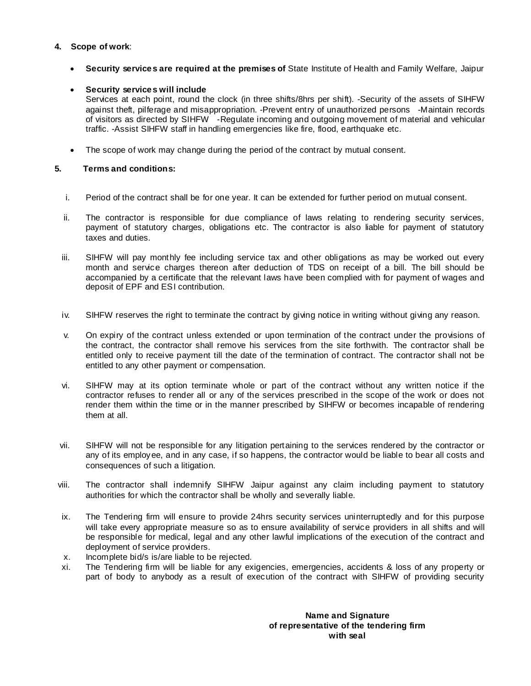# **4. Scope of work**:

· **Security services are required at the premises of** State Institute of Health and Family Welfare, Jaipur

# · **Security services will include**

Services at each point, round the clock (in three shifts/8hrs per shift). -Security of the assets of SIHFW against theft, pilferage and misappropriation. -Prevent entry of unauthorized persons -Maintain records of visitors as directed by SIHFW -Regulate incoming and outgoing movement of material and vehicular traffic. -Assist SIHFW staff in handling emergencies like fire, flood, earthquake etc.

· The scope of work may change during the period of the contract by mutual consent.

# **5. Terms and conditions:**

- i. Period of the contract shall be for one year. It can be extended for further period on mutual consent.
- ii. The contractor is responsible for due compliance of laws relating to rendering security services, payment of statutory charges, obligations etc. The contractor is also liable for payment of statutory taxes and duties.
- iii. SIHFW will pay monthly fee including service tax and other obligations as may be worked out every month and service charges thereon after deduction of TDS on receipt of a bill. The bill should be accompanied by a certificate that the relevant laws have been complied with for payment of wages and deposit of EPF and ESI contribution.
- iv. SIHFW reserves the right to terminate the contract by giving notice in writing without giving any reason.
- v. On expiry of the contract unless extended or upon termination of the contract under the provisions of the contract, the contractor shall remove his services from the site forthwith. The contractor shall be entitled only to receive payment till the date of the termination of contract. The contractor shall not be entitled to any other payment or compensation.
- vi. SIHFW may at its option terminate whole or part of the contract without any written notice if the contractor refuses to render all or any of the services prescribed in the scope of the work or does not render them within the time or in the manner prescribed by SIHFW or becomes incapable of rendering them at all.
- vii. SIHFW will not be responsible for any litigation pertaining to the services rendered by the contractor or any of its employee, and in any case, if so happens, the contractor would be liable to bear all costs and consequences of such a litigation.
- viii. The contractor shall indemnify SIHFW Jaipur against any claim including payment to statutory authorities for which the contractor shall be wholly and severally liable.
- ix. The Tendering firm will ensure to provide 24hrs security services uninterruptedly and for this purpose will take every appropriate measure so as to ensure availability of service providers in all shifts and will be responsible for medical, legal and any other lawful implications of the execution of the contract and deployment of service providers.
- x. Incomplete bid/s is/are liable to be rejected.
- xi. The Tendering firm will be liable for any exigencies, emergencies, accidents & loss of any property or part of body to anybody as a result of execution of the contract with SIHFW of providing security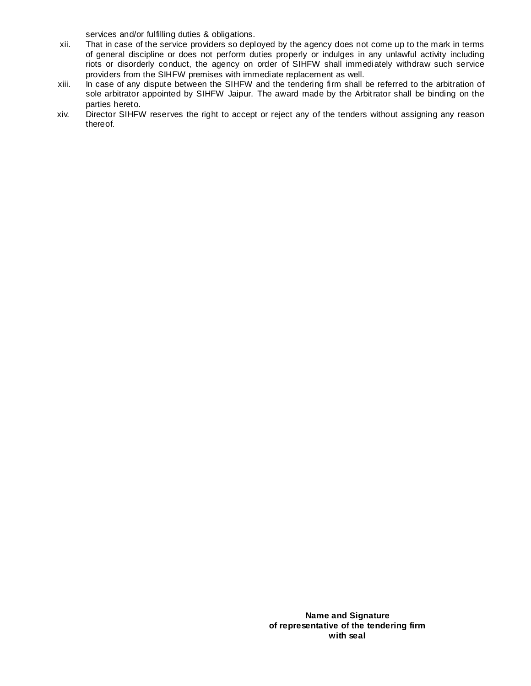services and/or fulfilling duties & obligations.

- xii. That in case of the service providers so deployed by the agency does not come up to the mark in terms of general discipline or does not perform duties properly or indulges in any unlawful activity including riots or disorderly conduct, the agency on order of SIHFW shall immediately withdraw such service providers from the SIHFW premises with immediate replacement as well.
- xiii. In case of any dispute between the SIHFW and the tendering firm shall be referred to the arbitration of sole arbitrator appointed by SIHFW Jaipur. The award made by the Arbitrator shall be binding on the parties hereto.
- xiv. Director SIHFW reserves the right to accept or reject any of the tenders without assigning any reason thereof.